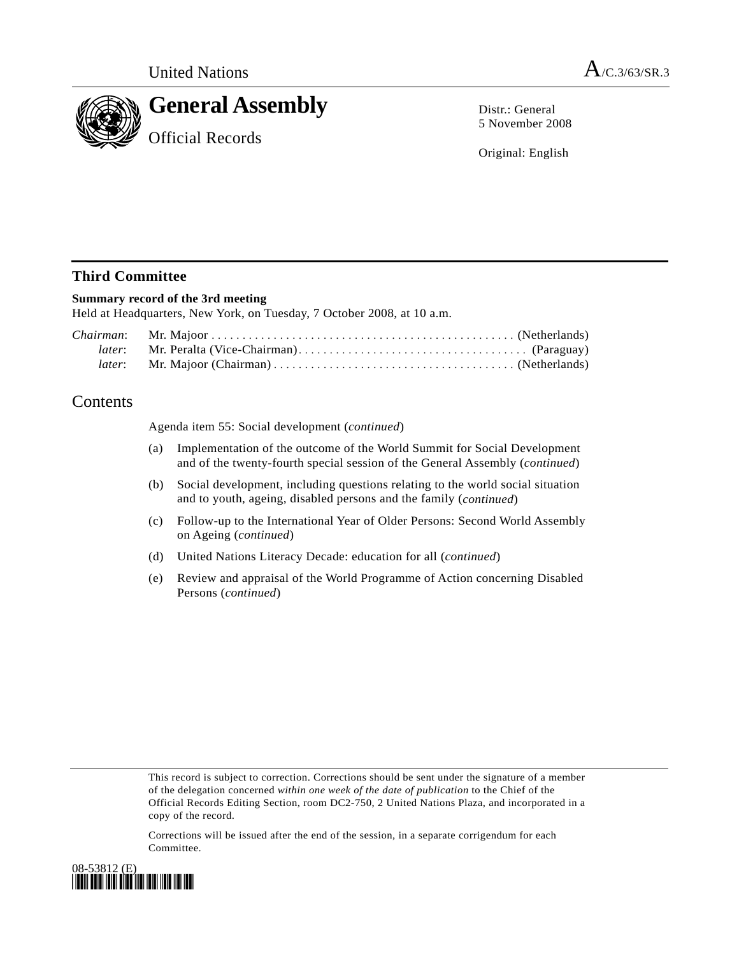

Distr.: General 5 November 2008

Original: English

## **Third Committee**

### **Summary record of the 3rd meeting**

Held at Headquarters, New York, on Tuesday, 7 October 2008, at 10 a.m.

# Contents

Agenda item 55: Social development (*continued*)

- (a) Implementation of the outcome of the World Summit for Social Development and of the twenty-fourth special session of the General Assembly (*continued*)
- (b) Social development, including questions relating to the world social situation and to youth, ageing, disabled persons and the family (*continued*)
- (c) Follow-up to the International Year of Older Persons: Second World Assembly on Ageing (*continued*)
- (d) United Nations Literacy Decade: education for all (*continued*)
- (e) Review and appraisal of the World Programme of Action concerning Disabled Persons (*continued*)

This record is subject to correction. Corrections should be sent under the signature of a member of the delegation concerned *within one week of the date of publication* to the Chief of the Official Records Editing Section, room DC2-750, 2 United Nations Plaza, and incorporated in a copy of the record.

Corrections will be issued after the end of the session, in a separate corrigendum for each Committee.

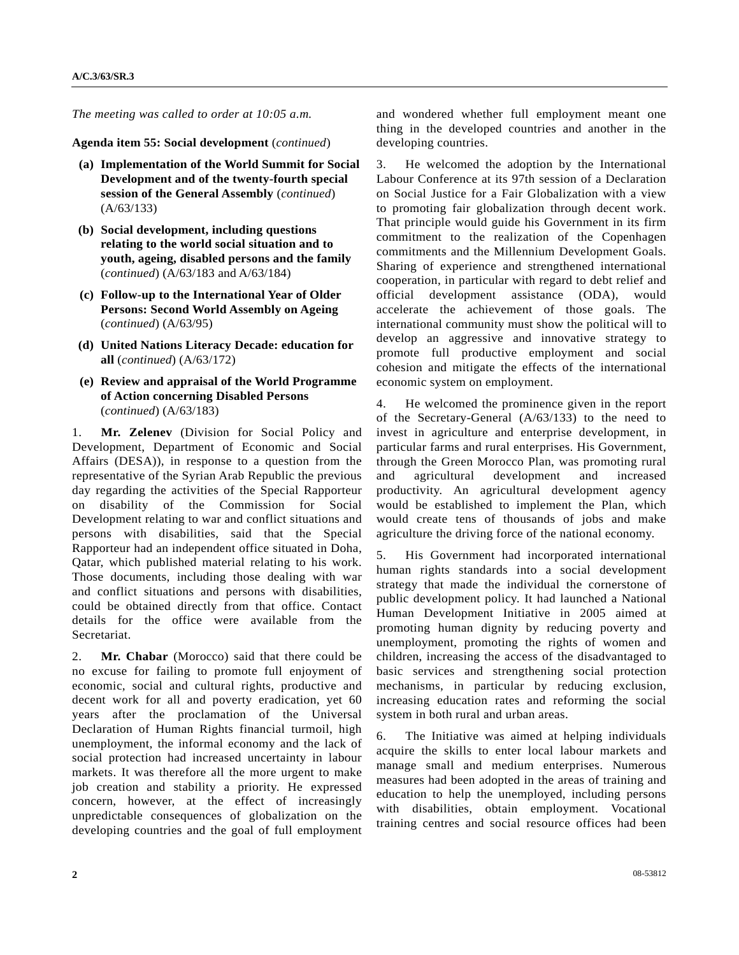*The meeting was called to order at 10:05 a.m.* 

**Agenda item 55: Social development** (*continued*)

- **(a) Implementation of the World Summit for Social Development and of the twenty-fourth special session of the General Assembly** (*continued*) (A/63/133)
- **(b) Social development, including questions relating to the world social situation and to youth, ageing, disabled persons and the family**  (*continued*) (A/63/183 and A/63/184)
- **(c) Follow-up to the International Year of Older Persons: Second World Assembly on Ageing**  (*continued*) (A/63/95)
- **(d) United Nations Literacy Decade: education for all** (*continued*) (A/63/172)
- **(e) Review and appraisal of the World Programme of Action concerning Disabled Persons**  (*continued*) (A/63/183)

1. **Mr. Zelenev** (Division for Social Policy and Development, Department of Economic and Social Affairs (DESA)), in response to a question from the representative of the Syrian Arab Republic the previous day regarding the activities of the Special Rapporteur on disability of the Commission for Social Development relating to war and conflict situations and persons with disabilities, said that the Special Rapporteur had an independent office situated in Doha, Qatar, which published material relating to his work. Those documents, including those dealing with war and conflict situations and persons with disabilities, could be obtained directly from that office. Contact details for the office were available from the Secretariat.

2. **Mr. Chabar** (Morocco) said that there could be no excuse for failing to promote full enjoyment of economic, social and cultural rights, productive and decent work for all and poverty eradication, yet 60 years after the proclamation of the Universal Declaration of Human Rights financial turmoil, high unemployment, the informal economy and the lack of social protection had increased uncertainty in labour markets. It was therefore all the more urgent to make job creation and stability a priority. He expressed concern, however, at the effect of increasingly unpredictable consequences of globalization on the developing countries and the goal of full employment and wondered whether full employment meant one thing in the developed countries and another in the developing countries.

3. He welcomed the adoption by the International Labour Conference at its 97th session of a Declaration on Social Justice for a Fair Globalization with a view to promoting fair globalization through decent work. That principle would guide his Government in its firm commitment to the realization of the Copenhagen commitments and the Millennium Development Goals. Sharing of experience and strengthened international cooperation, in particular with regard to debt relief and official development assistance (ODA), would accelerate the achievement of those goals. The international community must show the political will to develop an aggressive and innovative strategy to promote full productive employment and social cohesion and mitigate the effects of the international economic system on employment.

4. He welcomed the prominence given in the report of the Secretary-General (A/63/133) to the need to invest in agriculture and enterprise development, in particular farms and rural enterprises. His Government, through the Green Morocco Plan, was promoting rural and agricultural development and increased productivity. An agricultural development agency would be established to implement the Plan, which would create tens of thousands of jobs and make agriculture the driving force of the national economy.

5. His Government had incorporated international human rights standards into a social development strategy that made the individual the cornerstone of public development policy. It had launched a National Human Development Initiative in 2005 aimed at promoting human dignity by reducing poverty and unemployment, promoting the rights of women and children, increasing the access of the disadvantaged to basic services and strengthening social protection mechanisms, in particular by reducing exclusion, increasing education rates and reforming the social system in both rural and urban areas.

6. The Initiative was aimed at helping individuals acquire the skills to enter local labour markets and manage small and medium enterprises. Numerous measures had been adopted in the areas of training and education to help the unemployed, including persons with disabilities, obtain employment. Vocational training centres and social resource offices had been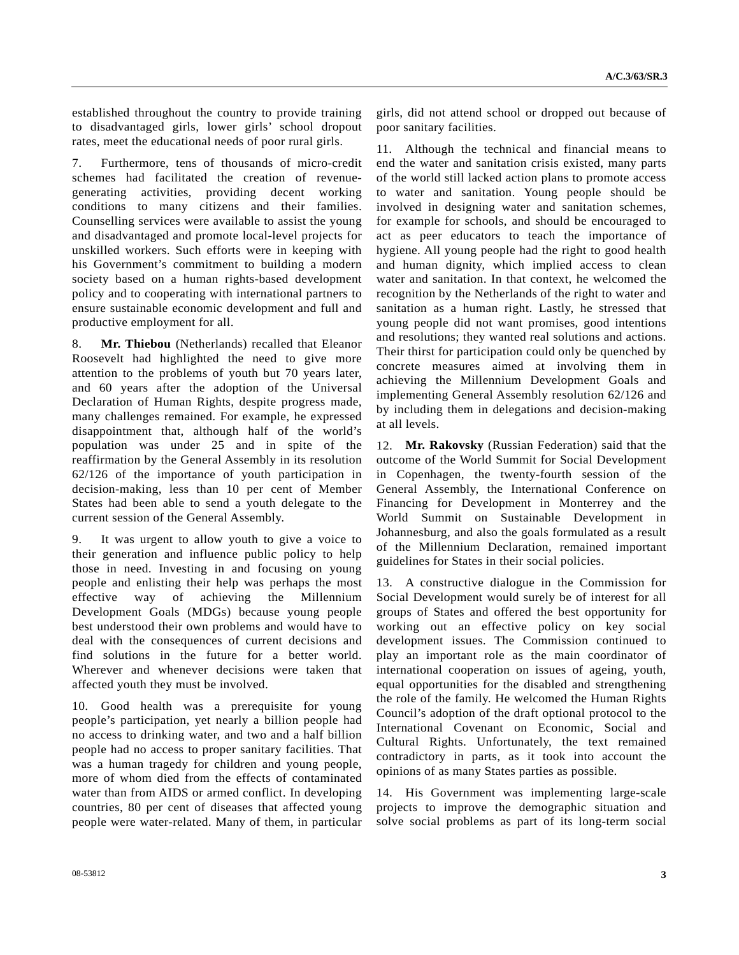established throughout the country to provide training to disadvantaged girls, lower girls' school dropout rates, meet the educational needs of poor rural girls.

7. Furthermore, tens of thousands of micro-credit schemes had facilitated the creation of revenuegenerating activities, providing decent working conditions to many citizens and their families. Counselling services were available to assist the young and disadvantaged and promote local-level projects for unskilled workers. Such efforts were in keeping with his Government's commitment to building a modern society based on a human rights-based development policy and to cooperating with international partners to ensure sustainable economic development and full and productive employment for all.

8. **Mr. Thiebou** (Netherlands) recalled that Eleanor Roosevelt had highlighted the need to give more attention to the problems of youth but 70 years later, and 60 years after the adoption of the Universal Declaration of Human Rights, despite progress made, many challenges remained. For example, he expressed disappointment that, although half of the world's population was under 25 and in spite of the reaffirmation by the General Assembly in its resolution 62/126 of the importance of youth participation in decision-making, less than 10 per cent of Member States had been able to send a youth delegate to the current session of the General Assembly.

9. It was urgent to allow youth to give a voice to their generation and influence public policy to help those in need. Investing in and focusing on young people and enlisting their help was perhaps the most effective way of achieving the Millennium Development Goals (MDGs) because young people best understood their own problems and would have to deal with the consequences of current decisions and find solutions in the future for a better world. Wherever and whenever decisions were taken that affected youth they must be involved.

10. Good health was a prerequisite for young people's participation, yet nearly a billion people had no access to drinking water, and two and a half billion people had no access to proper sanitary facilities. That was a human tragedy for children and young people, more of whom died from the effects of contaminated water than from AIDS or armed conflict. In developing countries, 80 per cent of diseases that affected young people were water-related. Many of them, in particular girls, did not attend school or dropped out because of poor sanitary facilities.

11. Although the technical and financial means to end the water and sanitation crisis existed, many parts of the world still lacked action plans to promote access to water and sanitation. Young people should be involved in designing water and sanitation schemes, for example for schools, and should be encouraged to act as peer educators to teach the importance of hygiene. All young people had the right to good health and human dignity, which implied access to clean water and sanitation. In that context, he welcomed the recognition by the Netherlands of the right to water and sanitation as a human right. Lastly, he stressed that young people did not want promises, good intentions and resolutions; they wanted real solutions and actions. Their thirst for participation could only be quenched by concrete measures aimed at involving them in achieving the Millennium Development Goals and implementing General Assembly resolution 62/126 and by including them in delegations and decision-making at all levels.

12. **Mr. Rakovsky** (Russian Federation) said that the outcome of the World Summit for Social Development in Copenhagen, the twenty-fourth session of the General Assembly, the International Conference on Financing for Development in Monterrey and the World Summit on Sustainable Development in Johannesburg, and also the goals formulated as a result of the Millennium Declaration, remained important guidelines for States in their social policies.

13. A constructive dialogue in the Commission for Social Development would surely be of interest for all groups of States and offered the best opportunity for working out an effective policy on key social development issues. The Commission continued to play an important role as the main coordinator of international cooperation on issues of ageing, youth, equal opportunities for the disabled and strengthening the role of the family. He welcomed the Human Rights Council's adoption of the draft optional protocol to the International Covenant on Economic, Social and Cultural Rights. Unfortunately, the text remained contradictory in parts, as it took into account the opinions of as many States parties as possible.

14. His Government was implementing large-scale projects to improve the demographic situation and solve social problems as part of its long-term social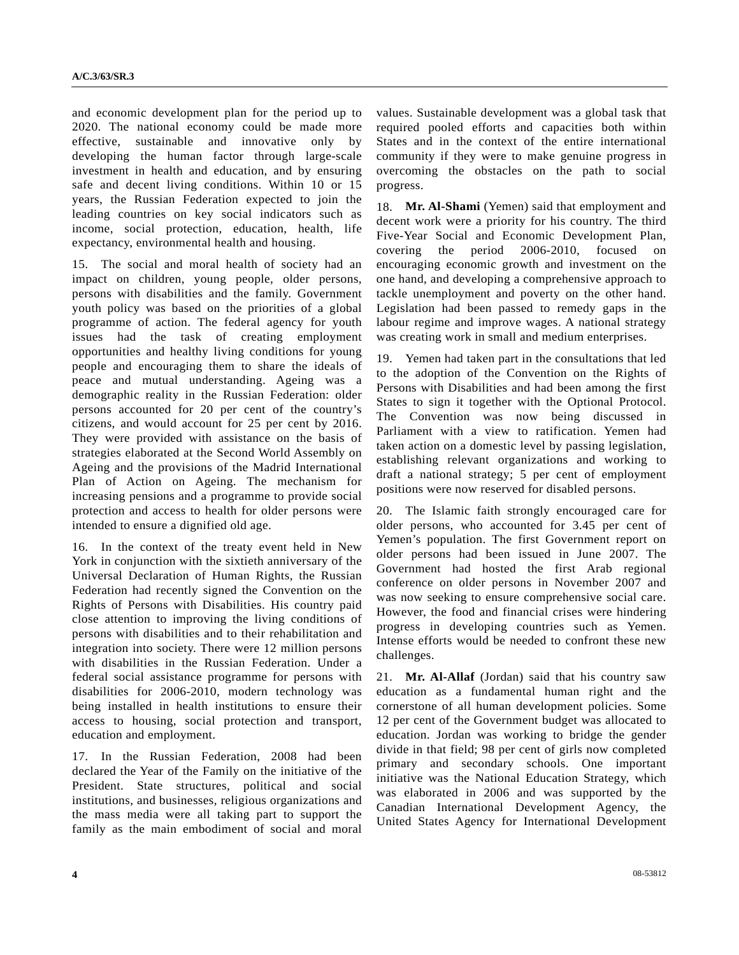and economic development plan for the period up to 2020. The national economy could be made more effective, sustainable and innovative only by developing the human factor through large-scale investment in health and education, and by ensuring safe and decent living conditions. Within 10 or 15 years, the Russian Federation expected to join the leading countries on key social indicators such as income, social protection, education, health, life expectancy, environmental health and housing.

15. The social and moral health of society had an impact on children, young people, older persons, persons with disabilities and the family. Government youth policy was based on the priorities of a global programme of action. The federal agency for youth issues had the task of creating employment opportunities and healthy living conditions for young people and encouraging them to share the ideals of peace and mutual understanding. Ageing was a demographic reality in the Russian Federation: older persons accounted for 20 per cent of the country's citizens, and would account for 25 per cent by 2016. They were provided with assistance on the basis of strategies elaborated at the Second World Assembly on Ageing and the provisions of the Madrid International Plan of Action on Ageing. The mechanism for increasing pensions and a programme to provide social protection and access to health for older persons were intended to ensure a dignified old age.

16. In the context of the treaty event held in New York in conjunction with the sixtieth anniversary of the Universal Declaration of Human Rights, the Russian Federation had recently signed the Convention on the Rights of Persons with Disabilities. His country paid close attention to improving the living conditions of persons with disabilities and to their rehabilitation and integration into society. There were 12 million persons with disabilities in the Russian Federation. Under a federal social assistance programme for persons with disabilities for 2006-2010, modern technology was being installed in health institutions to ensure their access to housing, social protection and transport, education and employment.

17. In the Russian Federation, 2008 had been declared the Year of the Family on the initiative of the President. State structures, political and social institutions, and businesses, religious organizations and the mass media were all taking part to support the family as the main embodiment of social and moral

values. Sustainable development was a global task that required pooled efforts and capacities both within States and in the context of the entire international community if they were to make genuine progress in overcoming the obstacles on the path to social progress.

18. **Mr. Al-Shami** (Yemen) said that employment and decent work were a priority for his country. The third Five-Year Social and Economic Development Plan, covering the period 2006-2010, focused on encouraging economic growth and investment on the one hand, and developing a comprehensive approach to tackle unemployment and poverty on the other hand. Legislation had been passed to remedy gaps in the labour regime and improve wages. A national strategy was creating work in small and medium enterprises.

19. Yemen had taken part in the consultations that led to the adoption of the Convention on the Rights of Persons with Disabilities and had been among the first States to sign it together with the Optional Protocol. The Convention was now being discussed in Parliament with a view to ratification. Yemen had taken action on a domestic level by passing legislation, establishing relevant organizations and working to draft a national strategy; 5 per cent of employment positions were now reserved for disabled persons.

20. The Islamic faith strongly encouraged care for older persons, who accounted for 3.45 per cent of Yemen's population. The first Government report on older persons had been issued in June 2007. The Government had hosted the first Arab regional conference on older persons in November 2007 and was now seeking to ensure comprehensive social care. However, the food and financial crises were hindering progress in developing countries such as Yemen. Intense efforts would be needed to confront these new challenges.

21. **Mr. Al-Allaf** (Jordan) said that his country saw education as a fundamental human right and the cornerstone of all human development policies. Some 12 per cent of the Government budget was allocated to education. Jordan was working to bridge the gender divide in that field; 98 per cent of girls now completed primary and secondary schools. One important initiative was the National Education Strategy, which was elaborated in 2006 and was supported by the Canadian International Development Agency, the United States Agency for International Development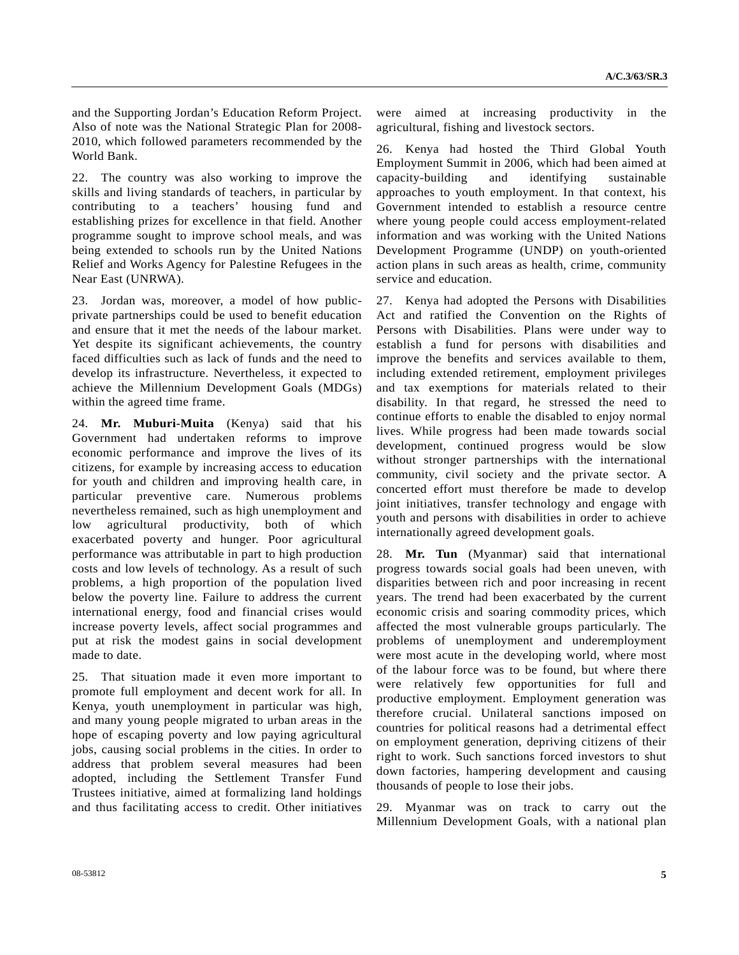and the Supporting Jordan's Education Reform Project. Also of note was the National Strategic Plan for 2008- 2010, which followed parameters recommended by the World Bank.

22. The country was also working to improve the skills and living standards of teachers, in particular by contributing to a teachers' housing fund and establishing prizes for excellence in that field. Another programme sought to improve school meals, and was being extended to schools run by the United Nations Relief and Works Agency for Palestine Refugees in the Near East (UNRWA).

23. Jordan was, moreover, a model of how publicprivate partnerships could be used to benefit education and ensure that it met the needs of the labour market. Yet despite its significant achievements, the country faced difficulties such as lack of funds and the need to develop its infrastructure. Nevertheless, it expected to achieve the Millennium Development Goals (MDGs) within the agreed time frame.

24. **Mr. Muburi-Muita** (Kenya) said that his Government had undertaken reforms to improve economic performance and improve the lives of its citizens, for example by increasing access to education for youth and children and improving health care, in particular preventive care. Numerous problems nevertheless remained, such as high unemployment and low agricultural productivity, both of which exacerbated poverty and hunger. Poor agricultural performance was attributable in part to high production costs and low levels of technology. As a result of such problems, a high proportion of the population lived below the poverty line. Failure to address the current international energy, food and financial crises would increase poverty levels, affect social programmes and put at risk the modest gains in social development made to date.

25. That situation made it even more important to promote full employment and decent work for all. In Kenya, youth unemployment in particular was high, and many young people migrated to urban areas in the hope of escaping poverty and low paying agricultural jobs, causing social problems in the cities. In order to address that problem several measures had been adopted, including the Settlement Transfer Fund Trustees initiative, aimed at formalizing land holdings and thus facilitating access to credit. Other initiatives were aimed at increasing productivity in the agricultural, fishing and livestock sectors.

26. Kenya had hosted the Third Global Youth Employment Summit in 2006, which had been aimed at capacity-building and identifying sustainable approaches to youth employment. In that context, his Government intended to establish a resource centre where young people could access employment-related information and was working with the United Nations Development Programme (UNDP) on youth-oriented action plans in such areas as health, crime, community service and education.

27. Kenya had adopted the Persons with Disabilities Act and ratified the Convention on the Rights of Persons with Disabilities. Plans were under way to establish a fund for persons with disabilities and improve the benefits and services available to them, including extended retirement, employment privileges and tax exemptions for materials related to their disability. In that regard, he stressed the need to continue efforts to enable the disabled to enjoy normal lives. While progress had been made towards social development, continued progress would be slow without stronger partnerships with the international community, civil society and the private sector. A concerted effort must therefore be made to develop joint initiatives, transfer technology and engage with youth and persons with disabilities in order to achieve internationally agreed development goals.

28. **Mr. Tun** (Myanmar) said that international progress towards social goals had been uneven, with disparities between rich and poor increasing in recent years. The trend had been exacerbated by the current economic crisis and soaring commodity prices, which affected the most vulnerable groups particularly. The problems of unemployment and underemployment were most acute in the developing world, where most of the labour force was to be found, but where there were relatively few opportunities for full and productive employment. Employment generation was therefore crucial. Unilateral sanctions imposed on countries for political reasons had a detrimental effect on employment generation, depriving citizens of their right to work. Such sanctions forced investors to shut down factories, hampering development and causing thousands of people to lose their jobs.

29. Myanmar was on track to carry out the Millennium Development Goals, with a national plan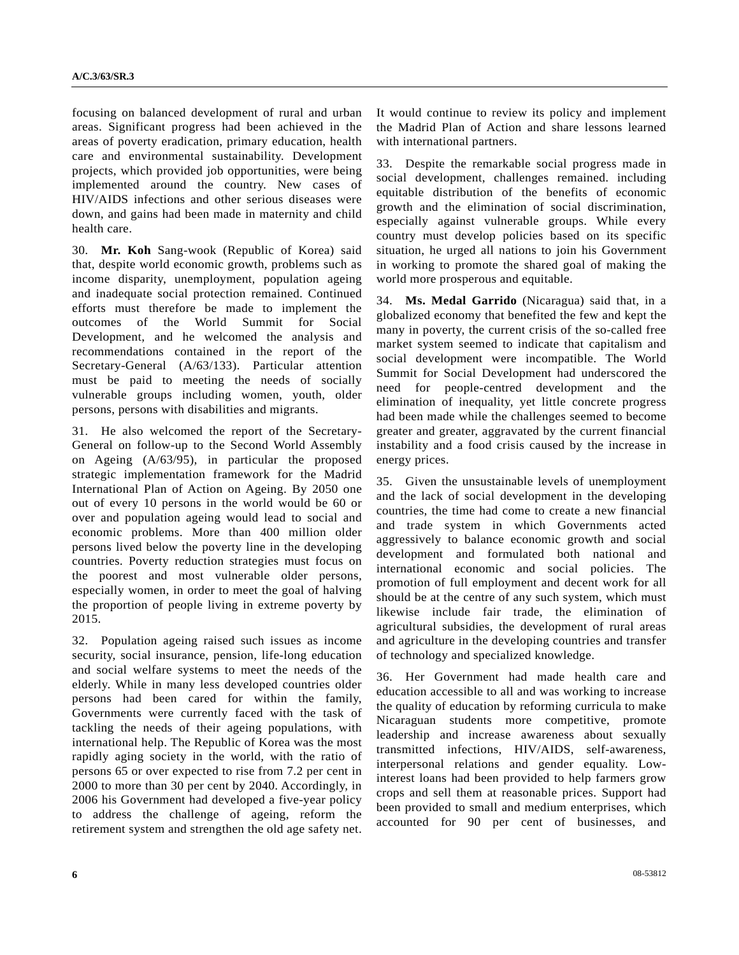focusing on balanced development of rural and urban areas. Significant progress had been achieved in the areas of poverty eradication, primary education, health care and environmental sustainability. Development projects, which provided job opportunities, were being implemented around the country. New cases of HIV/AIDS infections and other serious diseases were down, and gains had been made in maternity and child health care.

30. **Mr. Koh** Sang-wook (Republic of Korea) said that, despite world economic growth, problems such as income disparity, unemployment, population ageing and inadequate social protection remained. Continued efforts must therefore be made to implement the outcomes of the World Summit for Social Development, and he welcomed the analysis and recommendations contained in the report of the Secretary-General (A/63/133). Particular attention must be paid to meeting the needs of socially vulnerable groups including women, youth, older persons, persons with disabilities and migrants.

31. He also welcomed the report of the Secretary-General on follow-up to the Second World Assembly on Ageing (A/63/95), in particular the proposed strategic implementation framework for the Madrid International Plan of Action on Ageing. By 2050 one out of every 10 persons in the world would be 60 or over and population ageing would lead to social and economic problems. More than 400 million older persons lived below the poverty line in the developing countries. Poverty reduction strategies must focus on the poorest and most vulnerable older persons, especially women, in order to meet the goal of halving the proportion of people living in extreme poverty by 2015.

32. Population ageing raised such issues as income security, social insurance, pension, life-long education and social welfare systems to meet the needs of the elderly. While in many less developed countries older persons had been cared for within the family, Governments were currently faced with the task of tackling the needs of their ageing populations, with international help. The Republic of Korea was the most rapidly aging society in the world, with the ratio of persons 65 or over expected to rise from 7.2 per cent in 2000 to more than 30 per cent by 2040. Accordingly, in 2006 his Government had developed a five-year policy to address the challenge of ageing, reform the retirement system and strengthen the old age safety net.

It would continue to review its policy and implement the Madrid Plan of Action and share lessons learned with international partners.

33. Despite the remarkable social progress made in social development, challenges remained. including equitable distribution of the benefits of economic growth and the elimination of social discrimination, especially against vulnerable groups. While every country must develop policies based on its specific situation, he urged all nations to join his Government in working to promote the shared goal of making the world more prosperous and equitable.

34. **Ms. Medal Garrido** (Nicaragua) said that, in a globalized economy that benefited the few and kept the many in poverty, the current crisis of the so-called free market system seemed to indicate that capitalism and social development were incompatible. The World Summit for Social Development had underscored the need for people-centred development and the elimination of inequality, yet little concrete progress had been made while the challenges seemed to become greater and greater, aggravated by the current financial instability and a food crisis caused by the increase in energy prices.

35. Given the unsustainable levels of unemployment and the lack of social development in the developing countries, the time had come to create a new financial and trade system in which Governments acted aggressively to balance economic growth and social development and formulated both national and international economic and social policies. The promotion of full employment and decent work for all should be at the centre of any such system, which must likewise include fair trade, the elimination of agricultural subsidies, the development of rural areas and agriculture in the developing countries and transfer of technology and specialized knowledge.

36. Her Government had made health care and education accessible to all and was working to increase the quality of education by reforming curricula to make Nicaraguan students more competitive, promote leadership and increase awareness about sexually transmitted infections, HIV/AIDS, self-awareness, interpersonal relations and gender equality. Lowinterest loans had been provided to help farmers grow crops and sell them at reasonable prices. Support had been provided to small and medium enterprises, which accounted for 90 per cent of businesses, and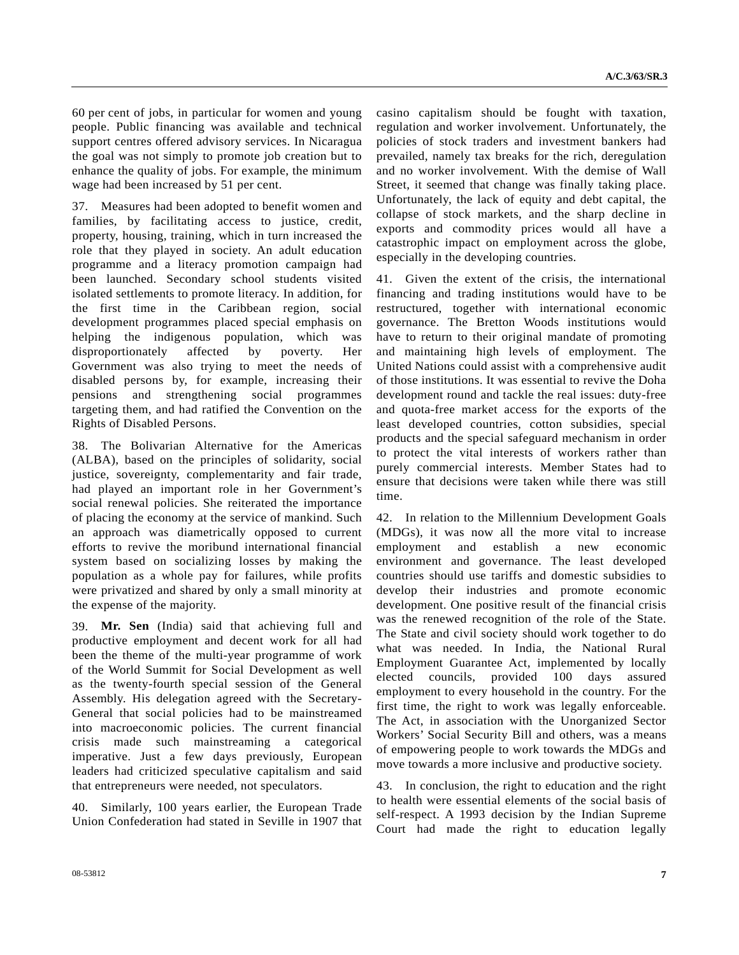60 per cent of jobs, in particular for women and young people. Public financing was available and technical support centres offered advisory services. In Nicaragua the goal was not simply to promote job creation but to enhance the quality of jobs. For example, the minimum wage had been increased by 51 per cent.

37. Measures had been adopted to benefit women and families, by facilitating access to justice, credit, property, housing, training, which in turn increased the role that they played in society. An adult education programme and a literacy promotion campaign had been launched. Secondary school students visited isolated settlements to promote literacy. In addition, for the first time in the Caribbean region, social development programmes placed special emphasis on helping the indigenous population, which was disproportionately affected by poverty. Her Government was also trying to meet the needs of disabled persons by, for example, increasing their pensions and strengthening social programmes targeting them, and had ratified the Convention on the Rights of Disabled Persons.

38. The Bolivarian Alternative for the Americas (ALBA), based on the principles of solidarity, social justice, sovereignty, complementarity and fair trade, had played an important role in her Government's social renewal policies. She reiterated the importance of placing the economy at the service of mankind. Such an approach was diametrically opposed to current efforts to revive the moribund international financial system based on socializing losses by making the population as a whole pay for failures, while profits were privatized and shared by only a small minority at the expense of the majority.

39. **Mr. Sen** (India) said that achieving full and productive employment and decent work for all had been the theme of the multi-year programme of work of the World Summit for Social Development as well as the twenty-fourth special session of the General Assembly. His delegation agreed with the Secretary-General that social policies had to be mainstreamed into macroeconomic policies. The current financial crisis made such mainstreaming a categorical imperative. Just a few days previously, European leaders had criticized speculative capitalism and said that entrepreneurs were needed, not speculators.

40. Similarly, 100 years earlier, the European Trade Union Confederation had stated in Seville in 1907 that casino capitalism should be fought with taxation, regulation and worker involvement. Unfortunately, the policies of stock traders and investment bankers had prevailed, namely tax breaks for the rich, deregulation and no worker involvement. With the demise of Wall Street, it seemed that change was finally taking place. Unfortunately, the lack of equity and debt capital, the collapse of stock markets, and the sharp decline in exports and commodity prices would all have a catastrophic impact on employment across the globe, especially in the developing countries.

41. Given the extent of the crisis, the international financing and trading institutions would have to be restructured, together with international economic governance. The Bretton Woods institutions would have to return to their original mandate of promoting and maintaining high levels of employment. The United Nations could assist with a comprehensive audit of those institutions. It was essential to revive the Doha development round and tackle the real issues: duty-free and quota-free market access for the exports of the least developed countries, cotton subsidies, special products and the special safeguard mechanism in order to protect the vital interests of workers rather than purely commercial interests. Member States had to ensure that decisions were taken while there was still time.

42. In relation to the Millennium Development Goals (MDGs), it was now all the more vital to increase employment and establish a new economic environment and governance. The least developed countries should use tariffs and domestic subsidies to develop their industries and promote economic development. One positive result of the financial crisis was the renewed recognition of the role of the State. The State and civil society should work together to do what was needed. In India, the National Rural Employment Guarantee Act, implemented by locally elected councils, provided 100 days assured employment to every household in the country. For the first time, the right to work was legally enforceable. The Act, in association with the Unorganized Sector Workers' Social Security Bill and others, was a means of empowering people to work towards the MDGs and move towards a more inclusive and productive society.

43. In conclusion, the right to education and the right to health were essential elements of the social basis of self-respect. A 1993 decision by the Indian Supreme Court had made the right to education legally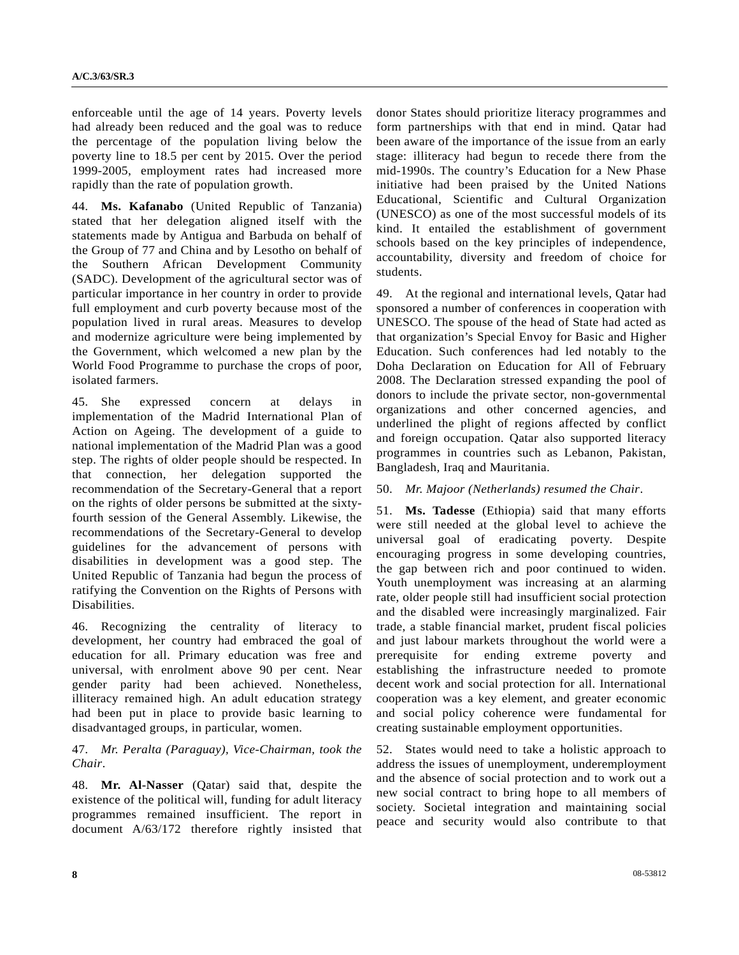enforceable until the age of 14 years. Poverty levels had already been reduced and the goal was to reduce the percentage of the population living below the poverty line to 18.5 per cent by 2015. Over the period 1999-2005, employment rates had increased more rapidly than the rate of population growth.

44. **Ms. Kafanabo** (United Republic of Tanzania) stated that her delegation aligned itself with the statements made by Antigua and Barbuda on behalf of the Group of 77 and China and by Lesotho on behalf of the Southern African Development Community (SADC). Development of the agricultural sector was of particular importance in her country in order to provide full employment and curb poverty because most of the population lived in rural areas. Measures to develop and modernize agriculture were being implemented by the Government, which welcomed a new plan by the World Food Programme to purchase the crops of poor, isolated farmers.

45. She expressed concern at delays in implementation of the Madrid International Plan of Action on Ageing. The development of a guide to national implementation of the Madrid Plan was a good step. The rights of older people should be respected. In that connection, her delegation supported the recommendation of the Secretary-General that a report on the rights of older persons be submitted at the sixtyfourth session of the General Assembly. Likewise, the recommendations of the Secretary-General to develop guidelines for the advancement of persons with disabilities in development was a good step. The United Republic of Tanzania had begun the process of ratifying the Convention on the Rights of Persons with Disabilities.

46. Recognizing the centrality of literacy to development, her country had embraced the goal of education for all. Primary education was free and universal, with enrolment above 90 per cent. Near gender parity had been achieved. Nonetheless, illiteracy remained high. An adult education strategy had been put in place to provide basic learning to disadvantaged groups, in particular, women.

### 47. *Mr. Peralta (Paraguay), Vice-Chairman, took the Chair*.

48. **Mr. Al-Nasser** (Qatar) said that, despite the existence of the political will, funding for adult literacy programmes remained insufficient. The report in document A/63/172 therefore rightly insisted that donor States should prioritize literacy programmes and form partnerships with that end in mind. Qatar had been aware of the importance of the issue from an early stage: illiteracy had begun to recede there from the mid-1990s. The country's Education for a New Phase initiative had been praised by the United Nations Educational, Scientific and Cultural Organization (UNESCO) as one of the most successful models of its kind. It entailed the establishment of government schools based on the key principles of independence, accountability, diversity and freedom of choice for students.

49. At the regional and international levels, Qatar had sponsored a number of conferences in cooperation with UNESCO. The spouse of the head of State had acted as that organization's Special Envoy for Basic and Higher Education. Such conferences had led notably to the Doha Declaration on Education for All of February 2008. The Declaration stressed expanding the pool of donors to include the private sector, non-governmental organizations and other concerned agencies, and underlined the plight of regions affected by conflict and foreign occupation. Qatar also supported literacy programmes in countries such as Lebanon, Pakistan, Bangladesh, Iraq and Mauritania.

#### 50. *Mr. Majoor (Netherlands) resumed the Chair*.

51. **Ms. Tadesse** (Ethiopia) said that many efforts were still needed at the global level to achieve the universal goal of eradicating poverty. Despite encouraging progress in some developing countries, the gap between rich and poor continued to widen. Youth unemployment was increasing at an alarming rate, older people still had insufficient social protection and the disabled were increasingly marginalized. Fair trade, a stable financial market, prudent fiscal policies and just labour markets throughout the world were a prerequisite for ending extreme poverty and establishing the infrastructure needed to promote decent work and social protection for all. International cooperation was a key element, and greater economic and social policy coherence were fundamental for creating sustainable employment opportunities.

52. States would need to take a holistic approach to address the issues of unemployment, underemployment and the absence of social protection and to work out a new social contract to bring hope to all members of society. Societal integration and maintaining social peace and security would also contribute to that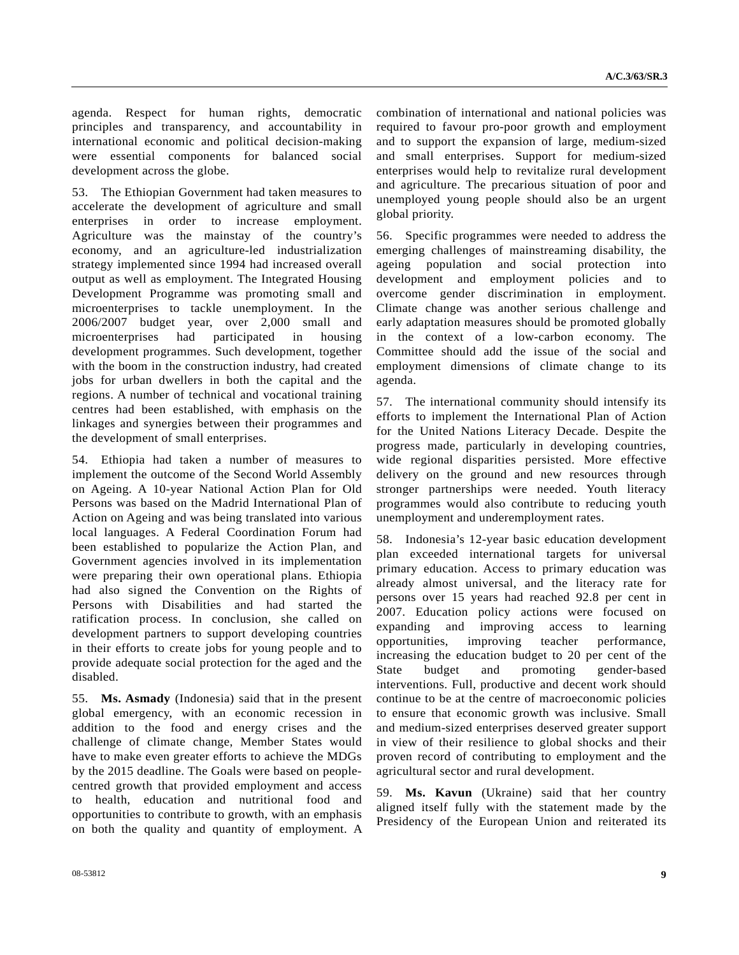agenda. Respect for human rights, democratic principles and transparency, and accountability in international economic and political decision-making were essential components for balanced social development across the globe.

53. The Ethiopian Government had taken measures to accelerate the development of agriculture and small enterprises in order to increase employment. Agriculture was the mainstay of the country's economy, and an agriculture-led industrialization strategy implemented since 1994 had increased overall output as well as employment. The Integrated Housing Development Programme was promoting small and microenterprises to tackle unemployment. In the 2006/2007 budget year, over 2,000 small and microenterprises had participated in housing development programmes. Such development, together with the boom in the construction industry, had created jobs for urban dwellers in both the capital and the regions. A number of technical and vocational training centres had been established, with emphasis on the linkages and synergies between their programmes and the development of small enterprises.

54. Ethiopia had taken a number of measures to implement the outcome of the Second World Assembly on Ageing. A 10-year National Action Plan for Old Persons was based on the Madrid International Plan of Action on Ageing and was being translated into various local languages. A Federal Coordination Forum had been established to popularize the Action Plan, and Government agencies involved in its implementation were preparing their own operational plans. Ethiopia had also signed the Convention on the Rights of Persons with Disabilities and had started the ratification process. In conclusion, she called on development partners to support developing countries in their efforts to create jobs for young people and to provide adequate social protection for the aged and the disabled.

55. **Ms. Asmady** (Indonesia) said that in the present global emergency, with an economic recession in addition to the food and energy crises and the challenge of climate change, Member States would have to make even greater efforts to achieve the MDGs by the 2015 deadline. The Goals were based on peoplecentred growth that provided employment and access to health, education and nutritional food and opportunities to contribute to growth, with an emphasis on both the quality and quantity of employment. A combination of international and national policies was required to favour pro-poor growth and employment and to support the expansion of large, medium-sized and small enterprises. Support for medium-sized enterprises would help to revitalize rural development and agriculture. The precarious situation of poor and unemployed young people should also be an urgent global priority.

56. Specific programmes were needed to address the emerging challenges of mainstreaming disability, the ageing population and social protection into development and employment policies and to overcome gender discrimination in employment. Climate change was another serious challenge and early adaptation measures should be promoted globally in the context of a low-carbon economy. The Committee should add the issue of the social and employment dimensions of climate change to its agenda.

57. The international community should intensify its efforts to implement the International Plan of Action for the United Nations Literacy Decade. Despite the progress made, particularly in developing countries, wide regional disparities persisted. More effective delivery on the ground and new resources through stronger partnerships were needed. Youth literacy programmes would also contribute to reducing youth unemployment and underemployment rates.

58. Indonesia's 12-year basic education development plan exceeded international targets for universal primary education. Access to primary education was already almost universal, and the literacy rate for persons over 15 years had reached 92.8 per cent in 2007. Education policy actions were focused on expanding and improving access to learning opportunities, improving teacher performance, increasing the education budget to 20 per cent of the State budget and promoting gender-based interventions. Full, productive and decent work should continue to be at the centre of macroeconomic policies to ensure that economic growth was inclusive. Small and medium-sized enterprises deserved greater support in view of their resilience to global shocks and their proven record of contributing to employment and the agricultural sector and rural development.

59. **Ms. Kavun** (Ukraine) said that her country aligned itself fully with the statement made by the Presidency of the European Union and reiterated its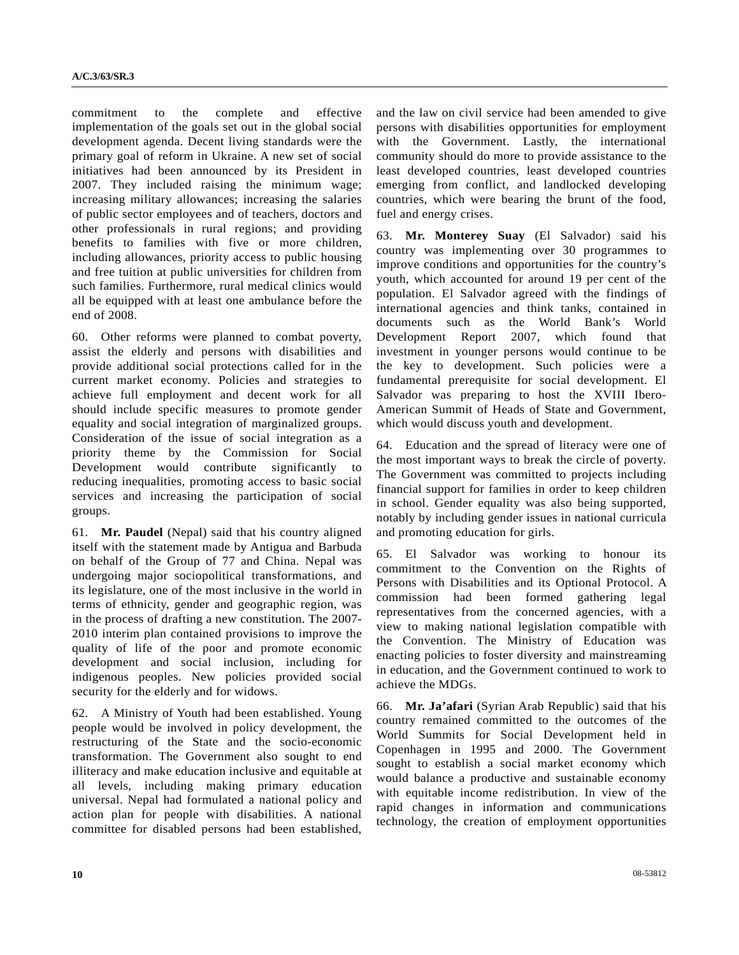commitment to the complete and effective implementation of the goals set out in the global social development agenda. Decent living standards were the primary goal of reform in Ukraine. A new set of social initiatives had been announced by its President in 2007. They included raising the minimum wage; increasing military allowances; increasing the salaries of public sector employees and of teachers, doctors and other professionals in rural regions; and providing benefits to families with five or more children, including allowances, priority access to public housing and free tuition at public universities for children from such families. Furthermore, rural medical clinics would all be equipped with at least one ambulance before the end of 2008.

60. Other reforms were planned to combat poverty, assist the elderly and persons with disabilities and provide additional social protections called for in the current market economy. Policies and strategies to achieve full employment and decent work for all should include specific measures to promote gender equality and social integration of marginalized groups. Consideration of the issue of social integration as a priority theme by the Commission for Social Development would contribute significantly to reducing inequalities, promoting access to basic social services and increasing the participation of social groups.

61. **Mr. Paudel** (Nepal) said that his country aligned itself with the statement made by Antigua and Barbuda on behalf of the Group of 77 and China. Nepal was undergoing major sociopolitical transformations, and its legislature, one of the most inclusive in the world in terms of ethnicity, gender and geographic region, was in the process of drafting a new constitution. The 2007- 2010 interim plan contained provisions to improve the quality of life of the poor and promote economic development and social inclusion, including for indigenous peoples. New policies provided social security for the elderly and for widows.

62. A Ministry of Youth had been established. Young people would be involved in policy development, the restructuring of the State and the socio-economic transformation. The Government also sought to end illiteracy and make education inclusive and equitable at all levels, including making primary education universal. Nepal had formulated a national policy and action plan for people with disabilities. A national committee for disabled persons had been established,

and the law on civil service had been amended to give persons with disabilities opportunities for employment with the Government. Lastly, the international community should do more to provide assistance to the least developed countries, least developed countries emerging from conflict, and landlocked developing countries, which were bearing the brunt of the food, fuel and energy crises.

63. **Mr. Monterey Suay** (El Salvador) said his country was implementing over 30 programmes to improve conditions and opportunities for the country's youth, which accounted for around 19 per cent of the population. El Salvador agreed with the findings of international agencies and think tanks, contained in documents such as the World Bank's World Development Report 2007, which found that investment in younger persons would continue to be the key to development. Such policies were a fundamental prerequisite for social development. El Salvador was preparing to host the XVIII Ibero-American Summit of Heads of State and Government, which would discuss youth and development.

64. Education and the spread of literacy were one of the most important ways to break the circle of poverty. The Government was committed to projects including financial support for families in order to keep children in school. Gender equality was also being supported, notably by including gender issues in national curricula and promoting education for girls.

65. El Salvador was working to honour its commitment to the Convention on the Rights of Persons with Disabilities and its Optional Protocol. A commission had been formed gathering legal representatives from the concerned agencies, with a view to making national legislation compatible with the Convention. The Ministry of Education was enacting policies to foster diversity and mainstreaming in education, and the Government continued to work to achieve the MDGs.

66. **Mr. Ja'afari** (Syrian Arab Republic) said that his country remained committed to the outcomes of the World Summits for Social Development held in Copenhagen in 1995 and 2000. The Government sought to establish a social market economy which would balance a productive and sustainable economy with equitable income redistribution. In view of the rapid changes in information and communications technology, the creation of employment opportunities